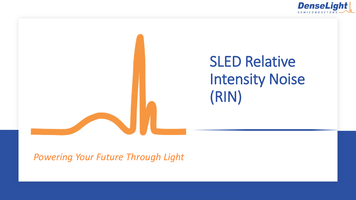



*Powering Your Future Through Light*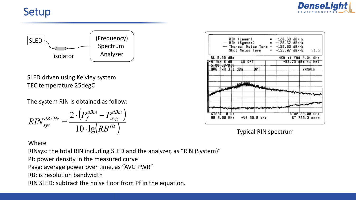## Setup





SLED driven using Keivley system TEC temperature 25degC

The system RIN is obtained as follow:

$$
RIN_{sys}^{dB/Hz} = \frac{2 \cdot \left(P_f^{dBm} - P_{avg}^{dBm}\right)}{10 \cdot \lg(RB^{Hz})}
$$

## Where

RINsys: the total RIN including SLED and the analyzer, as "RIN (System)"

Pf: power density in the measured curve

Pavg: average power over time, as "AVG PWR"

RB: is resolution bandwidth

RIN SLED: subtract the noise floor from Pf in the equation.

|      |               | <b>RIN (Laser)</b><br>- RIN (System) |     | $-$ Thermal Noise Term = $-152.03$ dB/Hz<br>Shot Noise Term $= -155.07$ dB/Hz | $-120.68$ dB/Hz<br>$= -128.67 dB/Hz$ |        |                                 | a1.5            |
|------|---------------|--------------------------------------|-----|-------------------------------------------------------------------------------|--------------------------------------|--------|---------------------------------|-----------------|
|      | RL 5.30 dBm   |                                      |     |                                                                               |                                      |        | MKR #1 FRQ 2.01                 | GHz             |
|      | तर            |                                      | OP. |                                                                               |                                      | -55.73 | dBm                             | Hz <sup>1</sup> |
|      | $5.88$ dB/DIV | AVG PWR 3.1 dBm                      |     | DPT                                                                           |                                      |        | SAMPLE                          |                 |
|      |               |                                      |     |                                                                               |                                      |        |                                 |                 |
|      |               |                                      |     |                                                                               |                                      |        |                                 |                 |
|      |               |                                      |     |                                                                               |                                      |        |                                 |                 |
| STAR | RB 3.00 MHz   | Ηz                                   |     |                                                                               |                                      |        | STOP 22.00 GHz<br>ST 733.3 msec |                 |

Typical RIN spectrum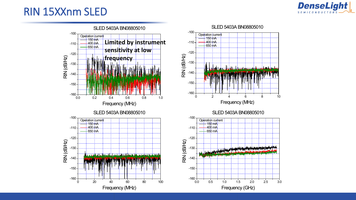

## RIN 15XXnm SLED